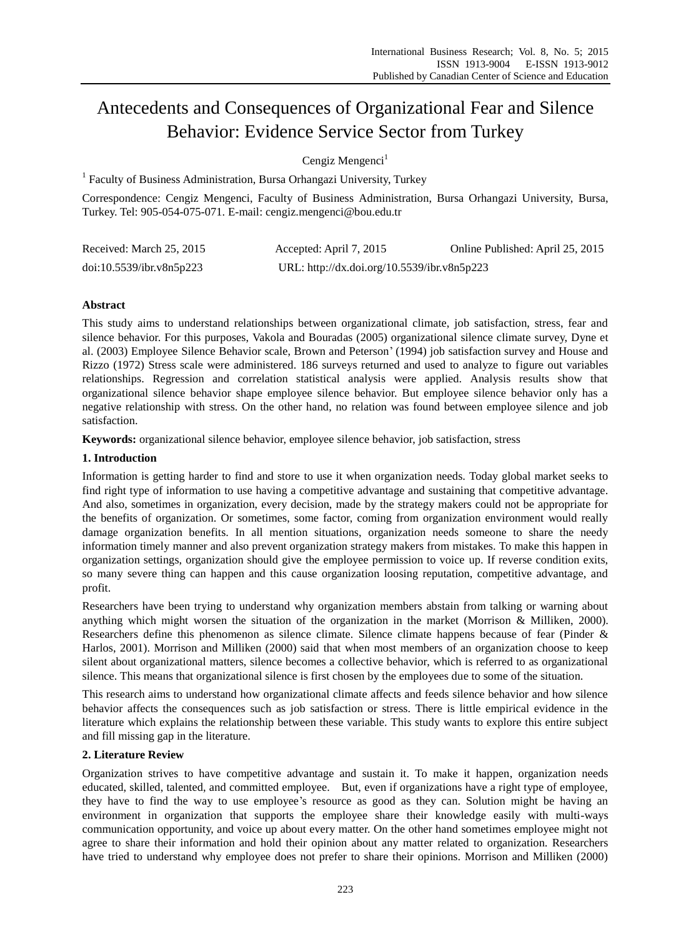# Antecedents and Consequences of Organizational Fear and Silence Behavior: Evidence Service Sector from Turkey

Cengiz Mengenci $<sup>1</sup>$ </sup>

<sup>1</sup> Faculty of Business Administration, Bursa Orhangazi University, Turkey

Correspondence: Cengiz Mengenci, Faculty of Business Administration, Bursa Orhangazi University, Bursa, Turkey. Tel: 905-054-075-071. E-mail: cengiz.mengenci@bou.edu.tr

| Received: March 25, 2015 | Accepted: April 7, 2015                     | Online Published: April 25, 2015 |
|--------------------------|---------------------------------------------|----------------------------------|
| doi:10.5539/ibr.v8n5p223 | URL: http://dx.doi.org/10.5539/ibr.v8n5p223 |                                  |

# **Abstract**

This study aims to understand relationships between organizational climate, job satisfaction, stress, fear and silence behavior. For this purposes, Vakola and Bouradas (2005) organizational silence climate survey, Dyne et al. (2003) Employee Silence Behavior scale, Brown and Peterson' (1994) job satisfaction survey and House and Rizzo (1972) Stress scale were administered. 186 surveys returned and used to analyze to figure out variables relationships. Regression and correlation statistical analysis were applied. Analysis results show that organizational silence behavior shape employee silence behavior. But employee silence behavior only has a negative relationship with stress. On the other hand, no relation was found between employee silence and job satisfaction.

**Keywords:** organizational silence behavior, employee silence behavior, job satisfaction, stress

# **1. Introduction**

Information is getting harder to find and store to use it when organization needs. Today global market seeks to find right type of information to use having a competitive advantage and sustaining that competitive advantage. And also, sometimes in organization, every decision, made by the strategy makers could not be appropriate for the benefits of organization. Or sometimes, some factor, coming from organization environment would really damage organization benefits. In all mention situations, organization needs someone to share the needy information timely manner and also prevent organization strategy makers from mistakes. To make this happen in organization settings, organization should give the employee permission to voice up. If reverse condition exits, so many severe thing can happen and this cause organization loosing reputation, competitive advantage, and profit.

Researchers have been trying to understand why organization members abstain from talking or warning about anything which might worsen the situation of the organization in the market (Morrison & Milliken, 2000). Researchers define this phenomenon as silence climate. Silence climate happens because of fear (Pinder & Harlos, 2001). Morrison and Milliken (2000) said that when most members of an organization choose to keep silent about organizational matters, silence becomes a collective behavior, which is referred to as organizational silence. This means that organizational silence is first chosen by the employees due to some of the situation.

This research aims to understand how organizational climate affects and feeds silence behavior and how silence behavior affects the consequences such as job satisfaction or stress. There is little empirical evidence in the literature which explains the relationship between these variable. This study wants to explore this entire subject and fill missing gap in the literature.

# **2. Literature Review**

Organization strives to have competitive advantage and sustain it. To make it happen, organization needs educated, skilled, talented, and committed employee. But, even if organizations have a right type of employee, they have to find the way to use employee's resource as good as they can. Solution might be having an environment in organization that supports the employee share their knowledge easily with multi-ways communication opportunity, and voice up about every matter. On the other hand sometimes employee might not agree to share their information and hold their opinion about any matter related to organization. Researchers have tried to understand why employee does not prefer to share their opinions. Morrison and Milliken (2000)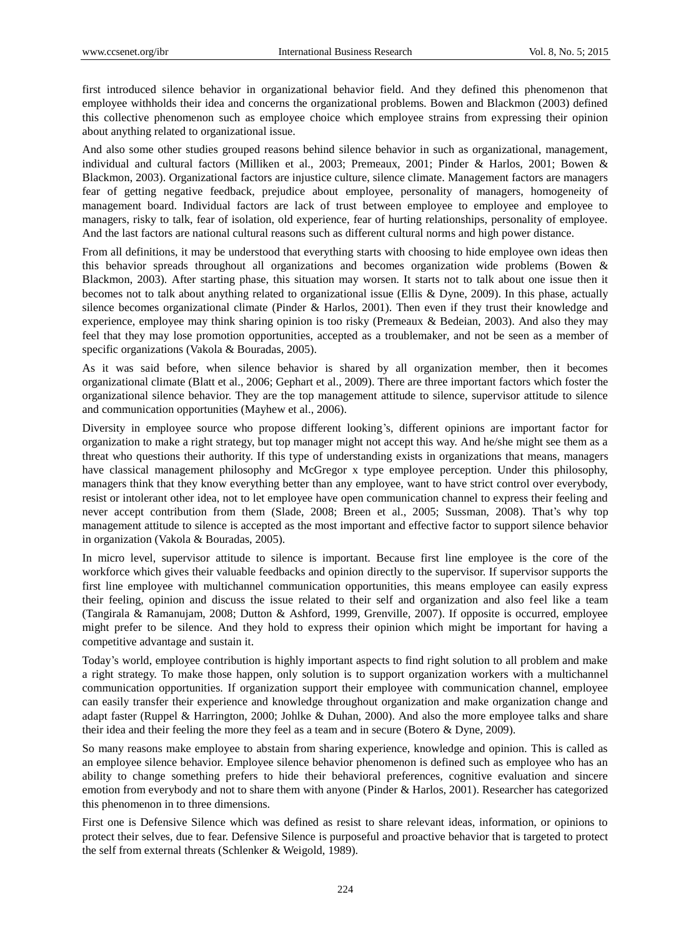first introduced silence behavior in organizational behavior field. And they defined this phenomenon that employee withholds their idea and concerns the organizational problems. Bowen and Blackmon (2003) defined this collective phenomenon such as employee choice which employee strains from expressing their opinion about anything related to organizational issue.

And also some other studies grouped reasons behind silence behavior in such as organizational, management, individual and cultural factors (Milliken et al., 2003; Premeaux, 2001; Pinder & Harlos, 2001; Bowen & Blackmon, 2003). Organizational factors are injustice culture, silence climate. Management factors are managers fear of getting negative feedback, prejudice about employee, personality of managers, homogeneity of management board. Individual factors are lack of trust between employee to employee and employee to managers, risky to talk, fear of isolation, old experience, fear of hurting relationships, personality of employee. And the last factors are national cultural reasons such as different cultural norms and high power distance.

From all definitions, it may be understood that everything starts with choosing to hide employee own ideas then this behavior spreads throughout all organizations and becomes organization wide problems (Bowen & Blackmon, 2003). After starting phase, this situation may worsen. It starts not to talk about one issue then it becomes not to talk about anything related to organizational issue (Ellis & Dyne, 2009). In this phase, actually silence becomes organizational climate (Pinder & Harlos, 2001). Then even if they trust their knowledge and experience, employee may think sharing opinion is too risky (Premeaux & Bedeian, 2003). And also they may feel that they may lose promotion opportunities, accepted as a troublemaker, and not be seen as a member of specific organizations (Vakola & Bouradas, 2005).

As it was said before, when silence behavior is shared by all organization member, then it becomes organizational climate (Blatt et al., 2006; Gephart et al., 2009). There are three important factors which foster the organizational silence behavior. They are the top management attitude to silence, supervisor attitude to silence and communication opportunities (Mayhew et al., 2006).

Diversity in employee source who propose different looking's, different opinions are important factor for organization to make a right strategy, but top manager might not accept this way. And he/she might see them as a threat who questions their authority. If this type of understanding exists in organizations that means, managers have classical management philosophy and McGregor x type employee perception. Under this philosophy, managers think that they know everything better than any employee, want to have strict control over everybody, resist or intolerant other idea, not to let employee have open communication channel to express their feeling and never accept contribution from them (Slade, 2008; Breen et al., 2005; Sussman, 2008). That's why top management attitude to silence is accepted as the most important and effective factor to support silence behavior in organization (Vakola & Bouradas, 2005).

In micro level, supervisor attitude to silence is important. Because first line employee is the core of the workforce which gives their valuable feedbacks and opinion directly to the supervisor. If supervisor supports the first line employee with multichannel communication opportunities, this means employee can easily express their feeling, opinion and discuss the issue related to their self and organization and also feel like a team (Tangirala & Ramanujam, 2008; Dutton & Ashford, 1999, Grenville, 2007). If opposite is occurred, employee might prefer to be silence. And they hold to express their opinion which might be important for having a competitive advantage and sustain it.

Today's world, employee contribution is highly important aspects to find right solution to all problem and make a right strategy. To make those happen, only solution is to support organization workers with a multichannel communication opportunities. If organization support their employee with communication channel, employee can easily transfer their experience and knowledge throughout organization and make organization change and adapt faster (Ruppel & Harrington, 2000; Johlke & Duhan, 2000). And also the more employee talks and share their idea and their feeling the more they feel as a team and in secure (Botero & Dyne, 2009).

So many reasons make employee to abstain from sharing experience, knowledge and opinion. This is called as an employee silence behavior. Employee silence behavior phenomenon is defined such as employee who has an ability to change something prefers to hide their behavioral preferences, cognitive evaluation and sincere emotion from everybody and not to share them with anyone (Pinder & Harlos, 2001). Researcher has categorized this phenomenon in to three dimensions.

First one is Defensive Silence which was defined as resist to share relevant ideas, information, or opinions to protect their selves, due to fear. Defensive Silence is purposeful and proactive behavior that is targeted to protect the self from external threats (Schlenker & Weigold, 1989).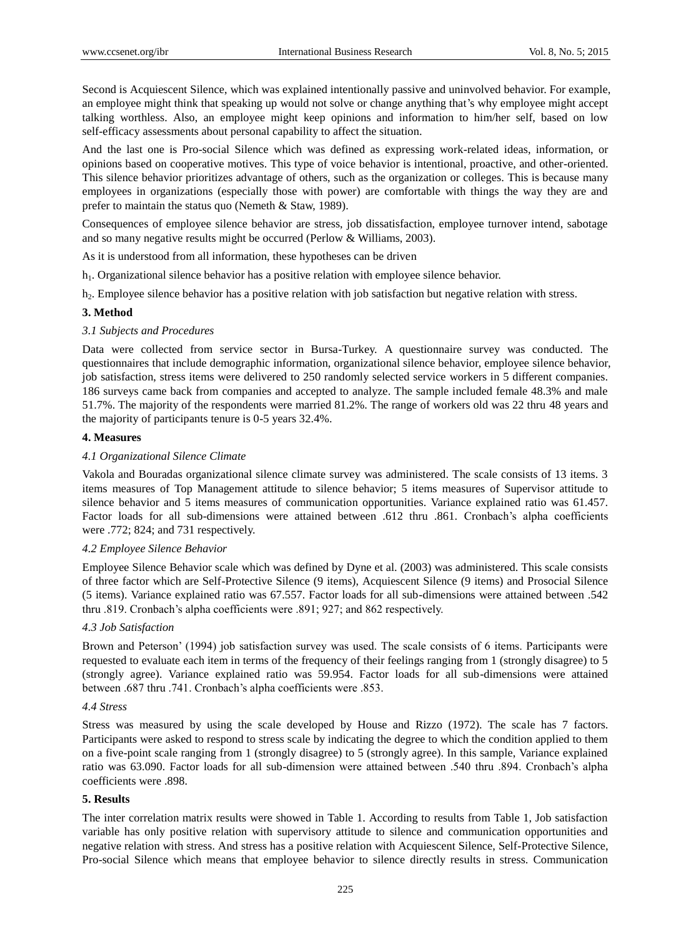Second is Acquiescent Silence, which was explained intentionally passive and uninvolved behavior. For example, an employee might think that speaking up would not solve or change anything that's why employee might accept talking worthless. Also, an employee might keep opinions and information to him/her self, based on low self-efficacy assessments about personal capability to affect the situation.

And the last one is Pro-social Silence which was defined as expressing work-related ideas, information, or opinions based on cooperative motives. This type of voice behavior is intentional, proactive, and other-oriented. This silence behavior prioritizes advantage of others, such as the organization or colleges. This is because many employees in organizations (especially those with power) are comfortable with things the way they are and prefer to maintain the status quo (Nemeth & Staw, 1989).

Consequences of employee silence behavior are stress, job dissatisfaction, employee turnover intend, sabotage and so many negative results might be occurred (Perlow & Williams, 2003).

As it is understood from all information, these hypotheses can be driven

 $h_1$ . Organizational silence behavior has a positive relation with employee silence behavior.

h2. Employee silence behavior has a positive relation with job satisfaction but negative relation with stress.

# **3. Method**

## *3.1 Subjects and Procedures*

Data were collected from service sector in Bursa-Turkey. A questionnaire survey was conducted. The questionnaires that include demographic information, organizational silence behavior, employee silence behavior, job satisfaction, stress items were delivered to 250 randomly selected service workers in 5 different companies. 186 surveys came back from companies and accepted to analyze. The sample included female 48.3% and male 51.7%. The majority of the respondents were married 81.2%. The range of workers old was 22 thru 48 years and the majority of participants tenure is 0-5 years 32.4%.

## **4. Measures**

## *4.1 Organizational Silence Climate*

Vakola and Bouradas organizational silence climate survey was administered. The scale consists of 13 items. 3 items measures of Top Management attitude to silence behavior; 5 items measures of Supervisor attitude to silence behavior and 5 items measures of communication opportunities. Variance explained ratio was 61.457. Factor loads for all sub-dimensions were attained between .612 thru .861. Cronbach's alpha coefficients were .772; 824; and 731 respectively.

#### *4.2 Employee Silence Behavior*

Employee Silence Behavior scale which was defined by Dyne et al. (2003) was administered. This scale consists of three factor which are Self-Protective Silence (9 items), Acquiescent Silence (9 items) and Prosocial Silence (5 items). Variance explained ratio was 67.557. Factor loads for all sub-dimensions were attained between .542 thru .819. Cronbach's alpha coefficients were .891; 927; and 862 respectively.

#### *4.3 Job Satisfaction*

Brown and Peterson' (1994) job satisfaction survey was used. The scale consists of 6 items. Participants were requested to evaluate each item in terms of the frequency of their feelings ranging from 1 (strongly disagree) to 5 (strongly agree). Variance explained ratio was 59.954. Factor loads for all sub-dimensions were attained between .687 thru .741. Cronbach's alpha coefficients were .853.

# *4.4 Stress*

Stress was measured by using the scale developed by House and Rizzo (1972). The scale has 7 factors. Participants were asked to respond to stress scale by indicating the degree to which the condition applied to them on a five-point scale ranging from 1 (strongly disagree) to 5 (strongly agree). In this sample, Variance explained ratio was 63.090. Factor loads for all sub-dimension were attained between .540 thru .894. Cronbach's alpha coefficients were .898.

#### **5. Results**

The inter correlation matrix results were showed in Table 1. According to results from Table 1, Job satisfaction variable has only positive relation with supervisory attitude to silence and communication opportunities and negative relation with stress. And stress has a positive relation with Acquiescent Silence, Self-Protective Silence, Pro-social Silence which means that employee behavior to silence directly results in stress. Communication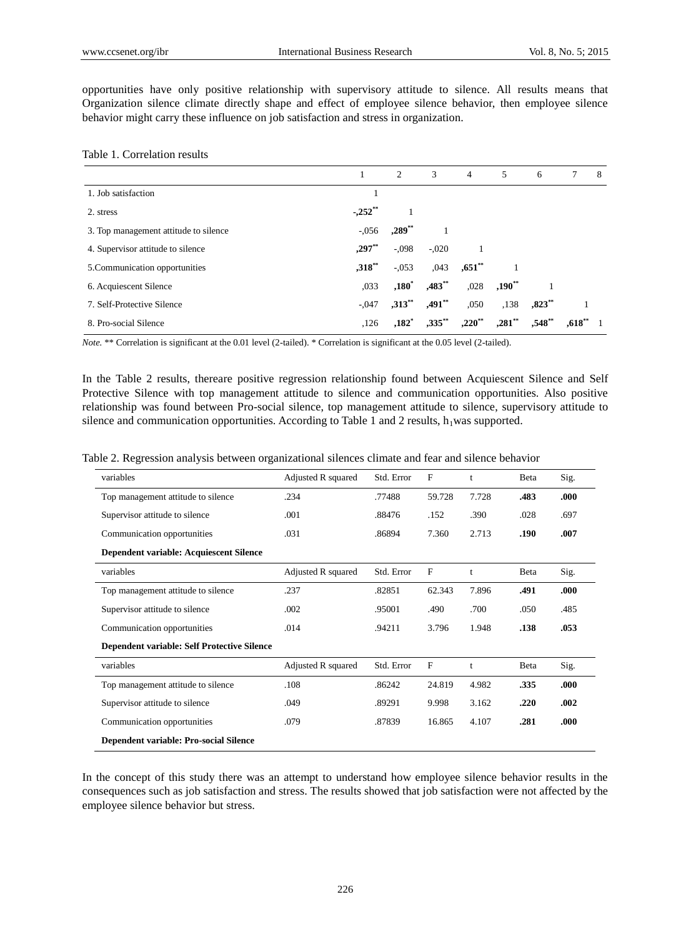opportunities have only positive relationship with supervisory attitude to silence. All results means that Organization silence climate directly shape and effect of employee silence behavior, then employee silence behavior might carry these influence on job satisfaction and stress in organization.

|  |  | Table 1. Correlation results |
|--|--|------------------------------|
|--|--|------------------------------|

|                                       |                      | 2                    | 3                    | $\overline{4}$       | 5                    | 6                    | 7    | 8              |
|---------------------------------------|----------------------|----------------------|----------------------|----------------------|----------------------|----------------------|------|----------------|
| 1. Job satisfaction                   |                      |                      |                      |                      |                      |                      |      |                |
| 2. stress                             | $-.252$ **           |                      |                      |                      |                      |                      |      |                |
| 3. Top management attitude to silence | $-.056$              | $,289^{**}$          |                      |                      |                      |                      |      |                |
| 4. Supervisor attitude to silence     | $,297$ <sup>**</sup> | $-.098$              | $-.020$              |                      |                      |                      |      |                |
| 5. Communication opportunities        | $,318^{**}$          | $-.053$              | ,043                 | $,651$ <sup>**</sup> |                      |                      |      |                |
| 6. Acquiescent Silence                | ,033                 | $,180^\circ$         | $,483^{**}$          | .028                 | $,190\degree$        |                      |      |                |
| 7. Self-Protective Silence            | $-.047$              | $,313$ <sup>**</sup> | ,491                 | ,050                 | ,138                 | $,823$ <sup>**</sup> |      |                |
| 8. Pro-social Silence                 | ,126                 | $,182^*$             | $,335$ <sup>**</sup> | $,220^{**}$          | $,281$ <sup>**</sup> | $,548^{\ast\ast}$    | ,618 | $\overline{1}$ |

*Note.* \*\* Correlation is significant at the 0.01 level (2-tailed). \* Correlation is significant at the 0.05 level (2-tailed).

In the Table 2 results, thereare positive regression relationship found between Acquiescent Silence and Self Protective Silence with top management attitude to silence and communication opportunities. Also positive relationship was found between Pro-social silence, top management attitude to silence, supervisory attitude to silence and communication opportunities. According to Table 1 and 2 results,  $h_1$ was supported.

|  |  | Table 2. Regression analysis between organizational silences climate and fear and silence behavior |  |  |  |
|--|--|----------------------------------------------------------------------------------------------------|--|--|--|
|  |  |                                                                                                    |  |  |  |

| variables                                          | Adjusted R squared | Std. Error | F      | t     | Beta | Sig.  |
|----------------------------------------------------|--------------------|------------|--------|-------|------|-------|
| Top management attitude to silence                 | .234               | .77488     | 59.728 | 7.728 | .483 | .000  |
| Supervisor attitude to silence                     | .001               | .88476     | .152   | .390  | .028 | .697  |
| Communication opportunities                        | .031               | .86894     | 7.360  | 2.713 | .190 | .007  |
| Dependent variable: Acquiescent Silence            |                    |            |        |       |      |       |
| variables                                          | Adjusted R squared | Std. Error | F      | t     | Beta | Sig.  |
| Top management attitude to silence                 | .237               | .82851     | 62.343 | 7.896 | .491 | .000. |
| Supervisor attitude to silence                     | .002               | .95001     | .490   | .700  | .050 | .485  |
| Communication opportunities                        | .014               | .94211     | 3.796  | 1.948 | .138 | .053  |
| <b>Dependent variable: Self Protective Silence</b> |                    |            |        |       |      |       |
| variables                                          | Adjusted R squared | Std. Error | F      | t     | Beta | Sig.  |
| Top management attitude to silence                 | .108               | .86242     | 24.819 | 4.982 | .335 | .000. |
| Supervisor attitude to silence                     | .049               | .89291     | 9.998  | 3.162 | .220 | .002  |
| Communication opportunities                        | .079               | .87839     | 16.865 | 4.107 | .281 | .000. |
| Dependent variable: Pro-social Silence             |                    |            |        |       |      |       |

In the concept of this study there was an attempt to understand how employee silence behavior results in the consequences such as job satisfaction and stress. The results showed that job satisfaction were not affected by the employee silence behavior but stress.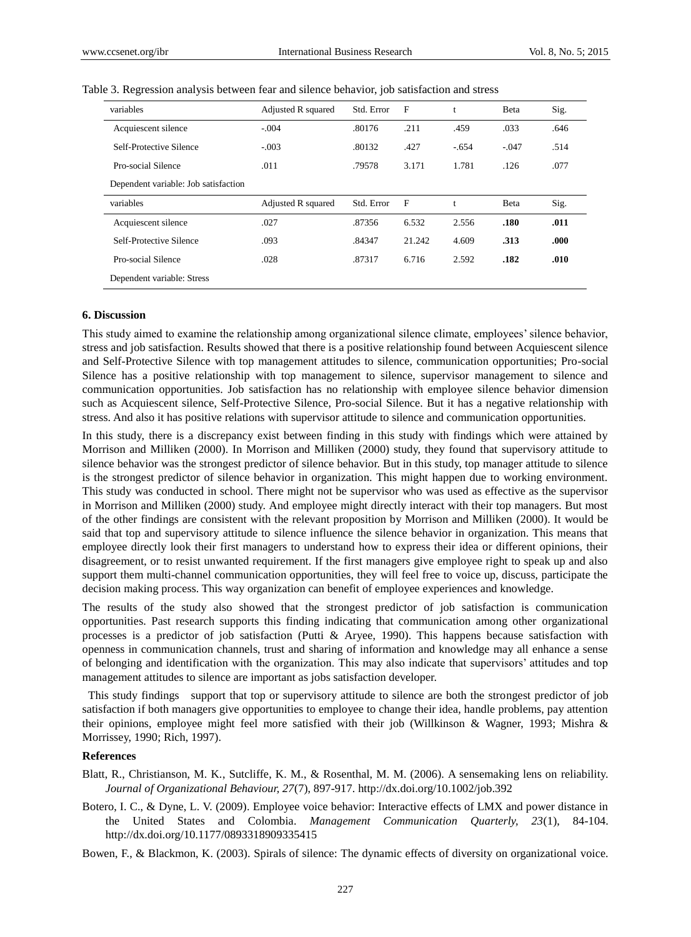| variables                            | Adjusted R squared | Std. Error | F            |         | Beta    | Sig. |
|--------------------------------------|--------------------|------------|--------------|---------|---------|------|
| Acquiescent silence                  | $-.004$            | .80176     | .211         | .459    | .033    | .646 |
| Self-Protective Silence              | $-.003$            | .80132     | .427         | $-.654$ | $-.047$ | .514 |
| Pro-social Silence                   | .011               | .79578     | 3.171        | 1.781   | .126    | .077 |
| Dependent variable: Job satisfaction |                    |            |              |         |         |      |
| variables                            | Adjusted R squared | Std. Error | $\mathbf{F}$ |         | Beta    | Sig. |
|                                      |                    |            |              |         |         |      |
| Acquiescent silence                  | .027               | .87356     | 6.532        | 2.556   | .180    | .011 |
| Self-Protective Silence              | .093               | .84347     | 21.242       | 4.609   | .313    | .000 |
| Pro-social Silence                   | .028               | .87317     | 6.716        | 2.592   | .182    | .010 |

Table 3. Regression analysis between fear and silence behavior, job satisfaction and stress

#### **6. Discussion**

This study aimed to examine the relationship among organizational silence climate, employees' silence behavior, stress and job satisfaction. Results showed that there is a positive relationship found between Acquiescent silence and Self-Protective Silence with top management attitudes to silence, communication opportunities; Pro-social Silence has a positive relationship with top management to silence, supervisor management to silence and communication opportunities. Job satisfaction has no relationship with employee silence behavior dimension such as Acquiescent silence, Self-Protective Silence, Pro-social Silence. But it has a negative relationship with stress. And also it has positive relations with supervisor attitude to silence and communication opportunities.

In this study, there is a discrepancy exist between finding in this study with findings which were attained by Morrison and Milliken (2000). In Morrison and Milliken (2000) study, they found that supervisory attitude to silence behavior was the strongest predictor of silence behavior. But in this study, top manager attitude to silence is the strongest predictor of silence behavior in organization. This might happen due to working environment. This study was conducted in school. There might not be supervisor who was used as effective as the supervisor in Morrison and Milliken (2000) study. And employee might directly interact with their top managers. But most of the other findings are consistent with the relevant proposition by Morrison and Milliken (2000). It would be said that top and supervisory attitude to silence influence the silence behavior in organization. This means that employee directly look their first managers to understand how to express their idea or different opinions, their disagreement, or to resist unwanted requirement. If the first managers give employee right to speak up and also support them multi-channel communication opportunities, they will feel free to voice up, discuss, participate the decision making process. This way organization can benefit of employee experiences and knowledge.

The results of the study also showed that the strongest predictor of job satisfaction is communication opportunities. Past research supports this finding indicating that communication among other organizational processes is a predictor of job satisfaction (Putti & Aryee, 1990). This happens because satisfaction with openness in communication channels, trust and sharing of information and knowledge may all enhance a sense of belonging and identification with the organization. This may also indicate that supervisors' attitudes and top management attitudes to silence are important as jobs satisfaction developer.

This study findings support that top or supervisory attitude to silence are both the strongest predictor of job satisfaction if both managers give opportunities to employee to change their idea, handle problems, pay attention their opinions, employee might feel more satisfied with their job (Willkinson & Wagner, 1993; Mishra & Morrissey, 1990; Rich, 1997).

## **References**

- Blatt, R., Christianson, M. K., Sutcliffe, K. M., & Rosenthal, M. M. (2006). A sensemaking lens on reliability. *Journal of Organizational Behaviour, 27*(7), 897-917. http://dx.doi.org/10.1002/job.392
- Botero, I. C., & Dyne, L. V. (2009). Employee voice behavior: Interactive effects of LMX and power distance in the United States and Colombia. *Management Communication Quarterly, 23*(1), 84-104. http://dx.doi.org/10.1177/0893318909335415

Bowen, F., & Blackmon, K. (2003). Spirals of silence: The dynamic effects of diversity on organizational voice.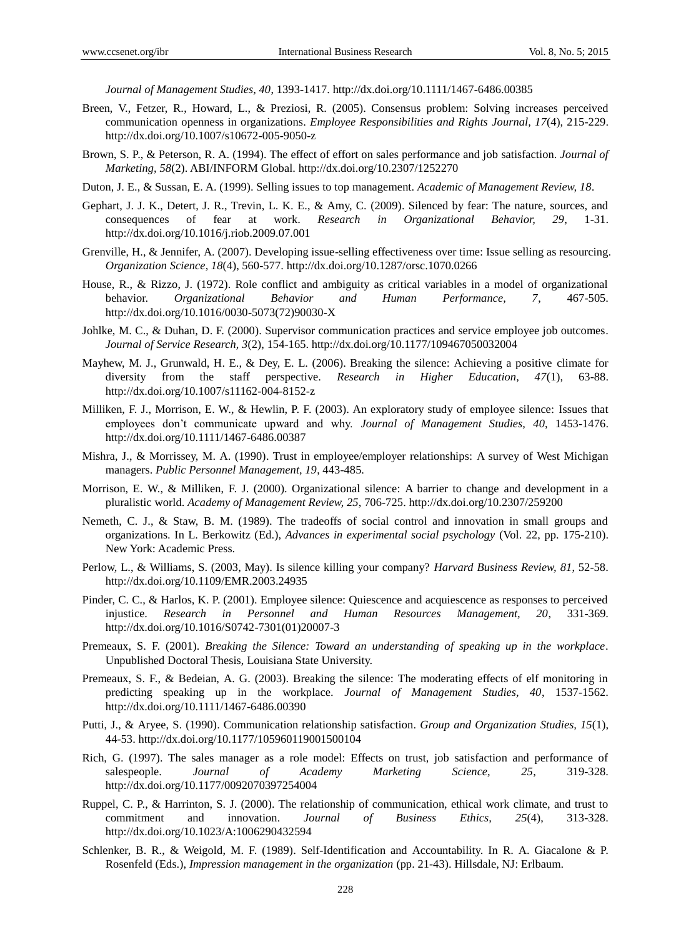*Journal of Management Studies, 40*, 1393-1417. http://dx.doi.org/10.1111/1467-6486.00385

- Breen, V., Fetzer, R., Howard, L., & Preziosi, R. (2005). Consensus problem: Solving increases perceived communication openness in organizations. *Employee Responsibilities and Rights Journal, 17*(4), 215-229. http://dx.doi.org/10.1007/s10672-005-9050-z
- Brown, S. P., & Peterson, R. A. (1994). The effect of effort on sales performance and job satisfaction. *Journal of Marketing, 58*(2). ABI/INFORM Global. http://dx.doi.org/10.2307/1252270
- Duton, J. E., & Sussan, E. A. (1999). Selling issues to top management. *Academic of Management Review, 18*.
- Gephart, J. J. K., Detert, J. R., Trevin, L. K. E., & Amy, C. (2009). Silenced by fear: The nature, sources, and consequences of fear at work. *Research in Organizational Behavior, 29*, 1-31. http://dx.doi.org/10.1016/j.riob.2009.07.001
- Grenville, H., & Jennifer, A. (2007). Developing issue-selling effectiveness over time: Issue selling as resourcing. *Organization Science, 18*(4), 560-577. http://dx.doi.org/10.1287/orsc.1070.0266
- House, R., & Rizzo, J. (1972). Role conflict and ambiguity as critical variables in a model of organizational behavior. *Organizational Behavior and Human Performance, 7*, 467-505. http://dx.doi.org/10.1016/0030-5073(72)90030-X
- Johlke, M. C., & Duhan, D. F. (2000). Supervisor communication practices and service employee job outcomes. *Journal of Service Research, 3*(2), 154-165. http://dx.doi.org/10.1177/109467050032004
- Mayhew, M. J., Grunwald, H. E., & Dey, E. L. (2006). Breaking the silence: Achieving a positive climate for diversity from the staff perspective. *Research in Higher Education, 47*(1), 63-88. http://dx.doi.org/10.1007/s11162-004-8152-z
- Milliken, F. J., Morrison, E. W., & Hewlin, P. F. (2003). An exploratory study of employee silence: Issues that employees don't communicate upward and why. *Journal of Management Studies, 40*, 1453-1476. http://dx.doi.org/10.1111/1467-6486.00387
- Mishra, J., & Morrissey, M. A. (1990). Trust in employee/employer relationships: A survey of West Michigan managers. *Public Personnel Management, 19*, 443-485.
- Morrison, E. W., & Milliken, F. J. (2000). Organizational silence: A barrier to change and development in a pluralistic world. *Academy of Management Review, 25*, 706-725. http://dx.doi.org/10.2307/259200
- Nemeth, C. J., & Staw, B. M. (1989). The tradeoffs of social control and innovation in small groups and organizations. In L. Berkowitz (Ed.), *Advances in experimental social psychology* (Vol. 22, pp. 175-210). New York: Academic Press.
- Perlow, L., & Williams, S. (2003, May). Is silence killing your company? *Harvard Business Review, 81*, 52-58. http://dx.doi.org/10.1109/EMR.2003.24935
- Pinder, C. C., & Harlos, K. P. (2001). Employee silence: Quiescence and acquiescence as responses to perceived injustice. *Research in Personnel and Human Resources Management, 20*, 331-369. http://dx.doi.org/10.1016/S0742-7301(01)20007-3
- Premeaux, S. F. (2001). *Breaking the Silence: Toward an understanding of speaking up in the workplace*. Unpublished Doctoral Thesis, Louisiana State University.
- Premeaux, S. F., & Bedeian, A. G. (2003). Breaking the silence: The moderating effects of elf monitoring in predicting speaking up in the workplace. *Journal of Management Studies, 40*, 1537-1562. http://dx.doi.org/10.1111/1467-6486.00390
- Putti, J., & Aryee, S. (1990). Communication relationship satisfaction. *Group and Organization Studies, 15*(1), 44-53. http://dx.doi.org/10.1177/105960119001500104
- Rich, G. (1997). The sales manager as a role model: Effects on trust, job satisfaction and performance of salespeople. *Journal of Academy Marketing Science, 25*, 319-328. http://dx.doi.org/10.1177/0092070397254004
- Ruppel, C. P., & Harrinton, S. J. (2000). The relationship of communication, ethical work climate, and trust to commitment and innovation. *Journal of Business Ethics, 25*(4), 313-328. http://dx.doi.org/10.1023/A:1006290432594
- Schlenker, B. R., & Weigold, M. F. (1989). Self-Identification and Accountability. In R. A. Giacalone & P. Rosenfeld (Eds.), *Impression management in the organization* (pp. 21-43). Hillsdale, NJ: Erlbaum.